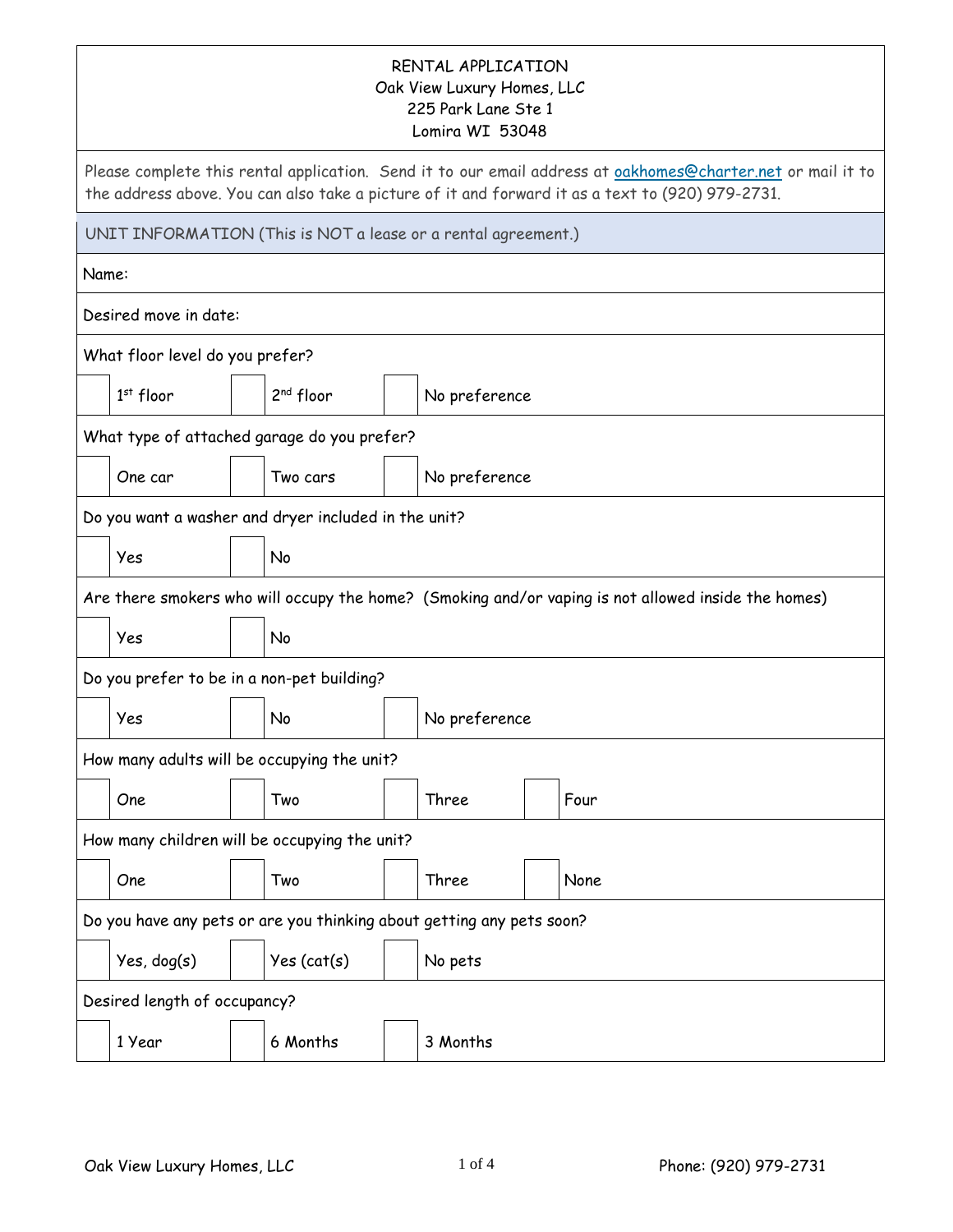## RENTAL APPLICATION Oak View Luxury Homes, LLC 225 Park Lane Ste 1 Lomira WI 53048

|                                                                       | 225 Park Lane Ste 1<br>Lomira WI 53048                                                                                                                                                                          |  |                                                               |  |               |  |                                                                                                     |
|-----------------------------------------------------------------------|-----------------------------------------------------------------------------------------------------------------------------------------------------------------------------------------------------------------|--|---------------------------------------------------------------|--|---------------|--|-----------------------------------------------------------------------------------------------------|
|                                                                       | Please complete this rental application. Send it to our email address at oakhomes@charter.net or mail it to<br>the address above. You can also take a picture of it and forward it as a text to (920) 979-2731. |  |                                                               |  |               |  |                                                                                                     |
|                                                                       |                                                                                                                                                                                                                 |  | UNIT INFORMATION (This is NOT a lease or a rental agreement.) |  |               |  |                                                                                                     |
| Name:                                                                 |                                                                                                                                                                                                                 |  |                                                               |  |               |  |                                                                                                     |
|                                                                       | Desired move in date:                                                                                                                                                                                           |  |                                                               |  |               |  |                                                                                                     |
|                                                                       | What floor level do you prefer?                                                                                                                                                                                 |  |                                                               |  |               |  |                                                                                                     |
|                                                                       | $1st$ floor                                                                                                                                                                                                     |  | 2 <sup>nd</sup> floor                                         |  | No preference |  |                                                                                                     |
|                                                                       |                                                                                                                                                                                                                 |  | What type of attached garage do you prefer?                   |  |               |  |                                                                                                     |
|                                                                       | One car                                                                                                                                                                                                         |  | Two cars                                                      |  | No preference |  |                                                                                                     |
|                                                                       |                                                                                                                                                                                                                 |  | Do you want a washer and dryer included in the unit?          |  |               |  |                                                                                                     |
|                                                                       | Yes<br>No                                                                                                                                                                                                       |  |                                                               |  |               |  |                                                                                                     |
|                                                                       |                                                                                                                                                                                                                 |  |                                                               |  |               |  | Are there smokers who will occupy the home? (Smoking and/or vaping is not allowed inside the homes) |
|                                                                       | Yes<br>No                                                                                                                                                                                                       |  |                                                               |  |               |  |                                                                                                     |
|                                                                       |                                                                                                                                                                                                                 |  | Do you prefer to be in a non-pet building?                    |  |               |  |                                                                                                     |
|                                                                       | Yes                                                                                                                                                                                                             |  | No                                                            |  | No preference |  |                                                                                                     |
|                                                                       |                                                                                                                                                                                                                 |  | How many adults will be occupying the unit?                   |  |               |  |                                                                                                     |
|                                                                       | One                                                                                                                                                                                                             |  | Two                                                           |  | Three         |  | Four                                                                                                |
|                                                                       |                                                                                                                                                                                                                 |  | How many children will be occupying the unit?                 |  |               |  |                                                                                                     |
|                                                                       | One                                                                                                                                                                                                             |  | Two                                                           |  | Three         |  | None                                                                                                |
| Do you have any pets or are you thinking about getting any pets soon? |                                                                                                                                                                                                                 |  |                                                               |  |               |  |                                                                                                     |
|                                                                       | Yes, dog(s)                                                                                                                                                                                                     |  | Yes (cat(s))                                                  |  | No pets       |  |                                                                                                     |
|                                                                       | Desired length of occupancy?                                                                                                                                                                                    |  |                                                               |  |               |  |                                                                                                     |
|                                                                       | 1 Year                                                                                                                                                                                                          |  | 6 Months                                                      |  | 3 Months      |  |                                                                                                     |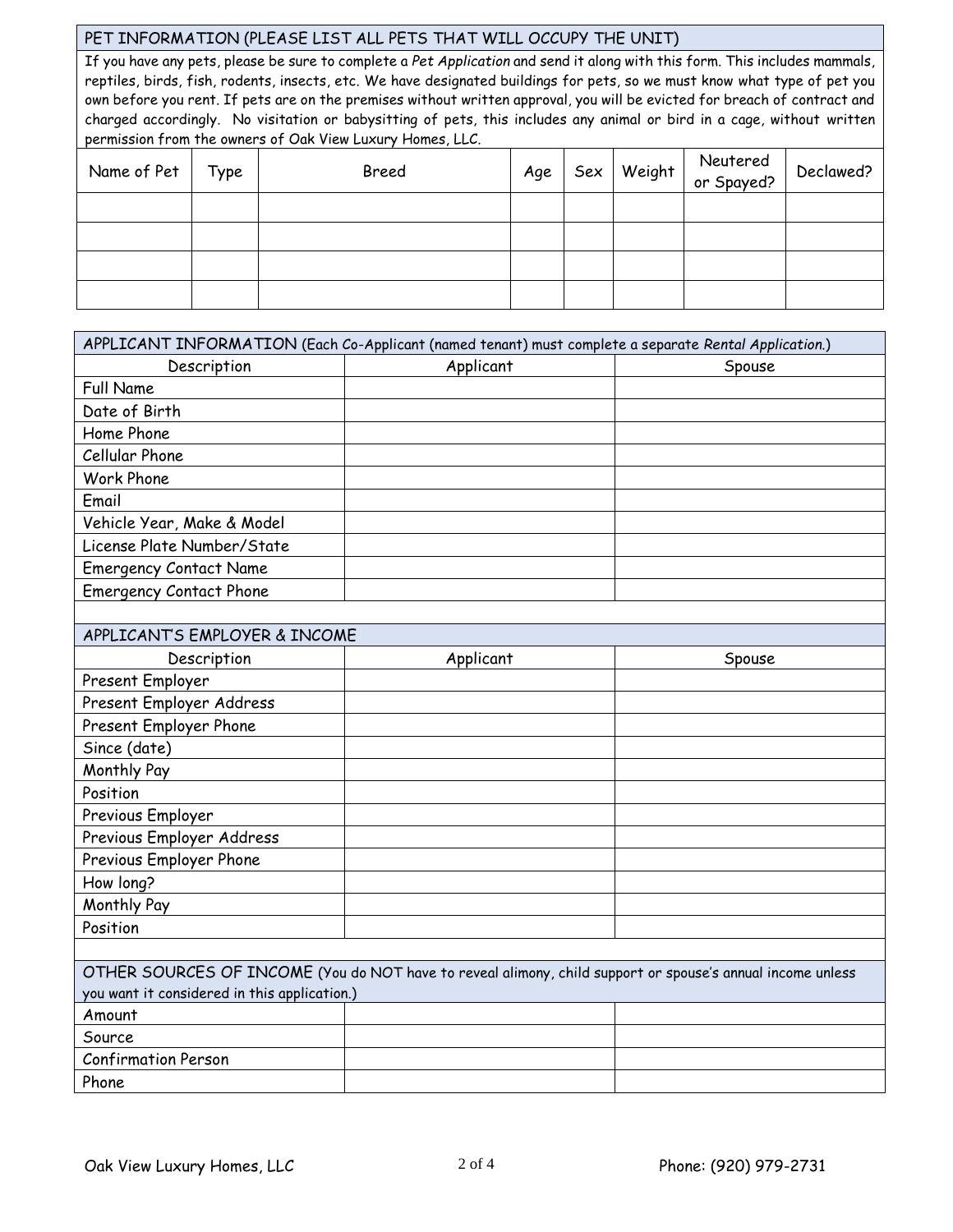## PET INFORMATION (PLEASE LIST ALL PETS THAT WILL OCCUPY THE UNIT)

If you have any pets, please be sure to complete a *Pet Application* and send it along with this form. This includes mammals, reptiles, birds, fish, rodents, insects, etc. We have designated buildings for pets, so we must know what type of pet you own before you rent. If pets are on the premises without written approval, you will be evicted for breach of contract and charged accordingly. No visitation or babysitting of pets, this includes any animal or bird in a cage, without written permission from the owners of Oak View Luxury Homes, LLC.

| Name of Pet | Type | Breed | Age |  | $\left $ Sex Weight $\right $ Neutered $\left $<br>or Spayed? | Declawed? |
|-------------|------|-------|-----|--|---------------------------------------------------------------|-----------|
|             |      |       |     |  |                                                               |           |
|             |      |       |     |  |                                                               |           |
|             |      |       |     |  |                                                               |           |
|             |      |       |     |  |                                                               |           |

| APPLICANT INFORMATION (Each Co-Applicant (named tenant) must complete a separate Rental Application.) |                                                                                                            |        |  |  |  |
|-------------------------------------------------------------------------------------------------------|------------------------------------------------------------------------------------------------------------|--------|--|--|--|
| Description                                                                                           | Applicant                                                                                                  | Spouse |  |  |  |
| <b>Full Name</b>                                                                                      |                                                                                                            |        |  |  |  |
| Date of Birth                                                                                         |                                                                                                            |        |  |  |  |
| Home Phone                                                                                            |                                                                                                            |        |  |  |  |
| Cellular Phone                                                                                        |                                                                                                            |        |  |  |  |
| <b>Work Phone</b>                                                                                     |                                                                                                            |        |  |  |  |
| Email                                                                                                 |                                                                                                            |        |  |  |  |
| Vehicle Year, Make & Model                                                                            |                                                                                                            |        |  |  |  |
| License Plate Number/State                                                                            |                                                                                                            |        |  |  |  |
| <b>Emergency Contact Name</b>                                                                         |                                                                                                            |        |  |  |  |
| <b>Emergency Contact Phone</b>                                                                        |                                                                                                            |        |  |  |  |
|                                                                                                       |                                                                                                            |        |  |  |  |
| APPLICANT'S EMPLOYER & INCOME                                                                         |                                                                                                            |        |  |  |  |
| Description                                                                                           | Applicant                                                                                                  | Spouse |  |  |  |
| Present Employer                                                                                      |                                                                                                            |        |  |  |  |
| Present Employer Address                                                                              |                                                                                                            |        |  |  |  |
| Present Employer Phone                                                                                |                                                                                                            |        |  |  |  |
| Since (date)                                                                                          |                                                                                                            |        |  |  |  |
| Monthly Pay                                                                                           |                                                                                                            |        |  |  |  |
| Position                                                                                              |                                                                                                            |        |  |  |  |
| Previous Employer                                                                                     |                                                                                                            |        |  |  |  |
| Previous Employer Address                                                                             |                                                                                                            |        |  |  |  |
| Previous Employer Phone                                                                               |                                                                                                            |        |  |  |  |
| How long?                                                                                             |                                                                                                            |        |  |  |  |
| Monthly Pay                                                                                           |                                                                                                            |        |  |  |  |
| Position                                                                                              |                                                                                                            |        |  |  |  |
|                                                                                                       |                                                                                                            |        |  |  |  |
|                                                                                                       | OTHER SOURCES OF INCOME (You do NOT have to reveal alimony, child support or spouse's annual income unless |        |  |  |  |
| you want it considered in this application.)                                                          |                                                                                                            |        |  |  |  |
| Amount                                                                                                |                                                                                                            |        |  |  |  |
| Source                                                                                                |                                                                                                            |        |  |  |  |
| <b>Confirmation Person</b>                                                                            |                                                                                                            |        |  |  |  |
| Phone                                                                                                 |                                                                                                            |        |  |  |  |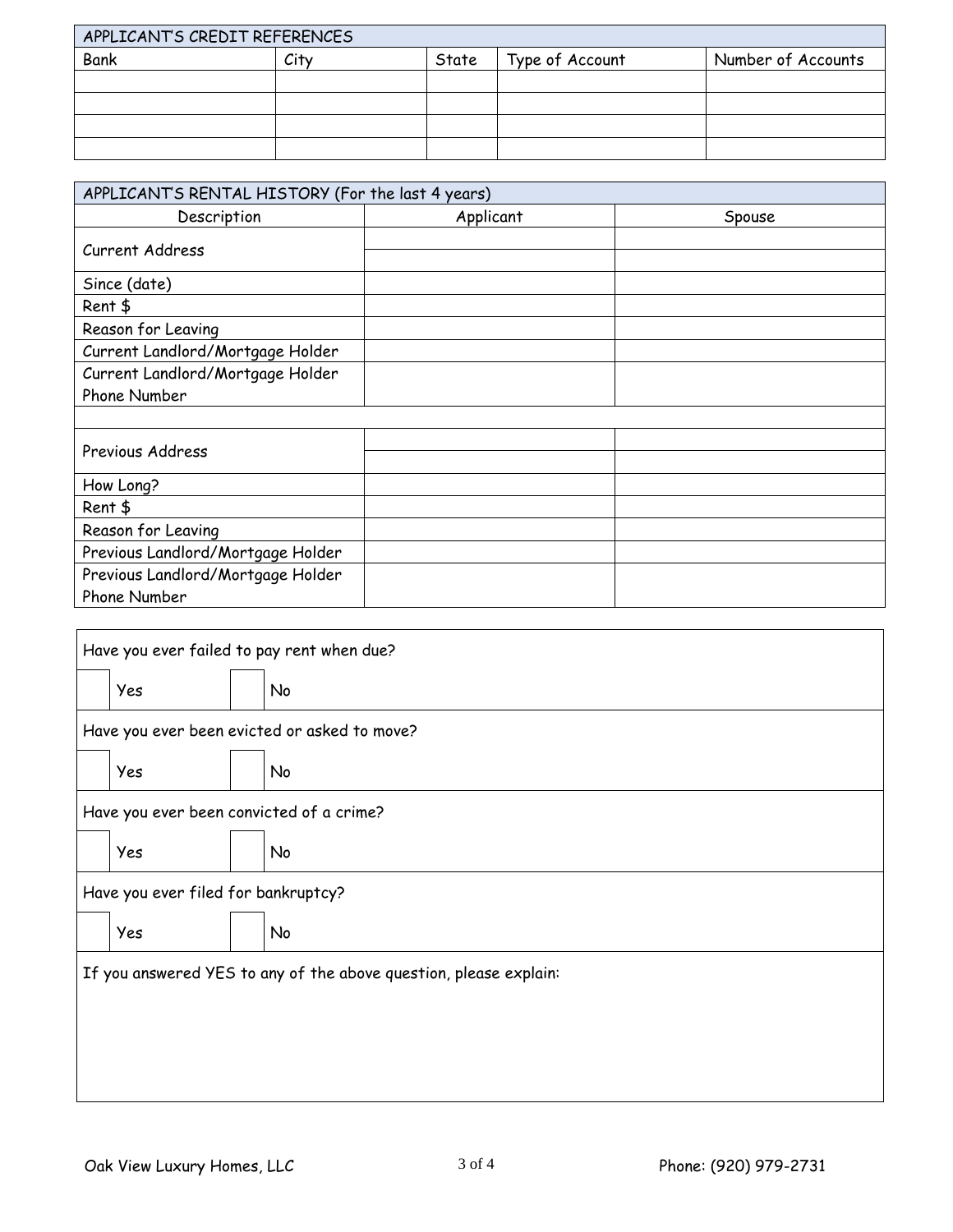| APPLICANT'S CREDIT REFERENCES |      |       |                 |                    |  |  |
|-------------------------------|------|-------|-----------------|--------------------|--|--|
| Bank                          | City | State | Type of Account | Number of Accounts |  |  |
|                               |      |       |                 |                    |  |  |
|                               |      |       |                 |                    |  |  |
|                               |      |       |                 |                    |  |  |
|                               |      |       |                 |                    |  |  |

| APPLICANT'S RENTAL HISTORY (For the last 4 years) |           |        |  |  |  |  |
|---------------------------------------------------|-----------|--------|--|--|--|--|
| Description                                       | Applicant | Spouse |  |  |  |  |
| Current Address                                   |           |        |  |  |  |  |
| Since (date)                                      |           |        |  |  |  |  |
| Rent \$                                           |           |        |  |  |  |  |
| Reason for Leaving                                |           |        |  |  |  |  |
| Current Landlord/Mortgage Holder                  |           |        |  |  |  |  |
| Current Landlord/Mortgage Holder                  |           |        |  |  |  |  |
| Phone Number                                      |           |        |  |  |  |  |
|                                                   |           |        |  |  |  |  |
| Previous Address                                  |           |        |  |  |  |  |
| How Long?                                         |           |        |  |  |  |  |
| Rent \$                                           |           |        |  |  |  |  |
| Reason for Leaving                                |           |        |  |  |  |  |
| Previous Landlord/Mortgage Holder                 |           |        |  |  |  |  |
| Previous Landlord/Mortgage Holder                 |           |        |  |  |  |  |
| Phone Number                                      |           |        |  |  |  |  |

|                                                                   | Have you ever failed to pay rent when due? |  |                                              |  |  |  |
|-------------------------------------------------------------------|--------------------------------------------|--|----------------------------------------------|--|--|--|
|                                                                   | Yes                                        |  | No                                           |  |  |  |
|                                                                   |                                            |  | Have you ever been evicted or asked to move? |  |  |  |
|                                                                   | Yes                                        |  | No                                           |  |  |  |
|                                                                   |                                            |  | Have you ever been convicted of a crime?     |  |  |  |
|                                                                   | Yes                                        |  | <b>No</b>                                    |  |  |  |
|                                                                   | Have you ever filed for bankruptcy?        |  |                                              |  |  |  |
|                                                                   | Yes                                        |  | No                                           |  |  |  |
| If you answered YES to any of the above question, please explain: |                                            |  |                                              |  |  |  |
|                                                                   |                                            |  |                                              |  |  |  |
|                                                                   |                                            |  |                                              |  |  |  |
|                                                                   |                                            |  |                                              |  |  |  |